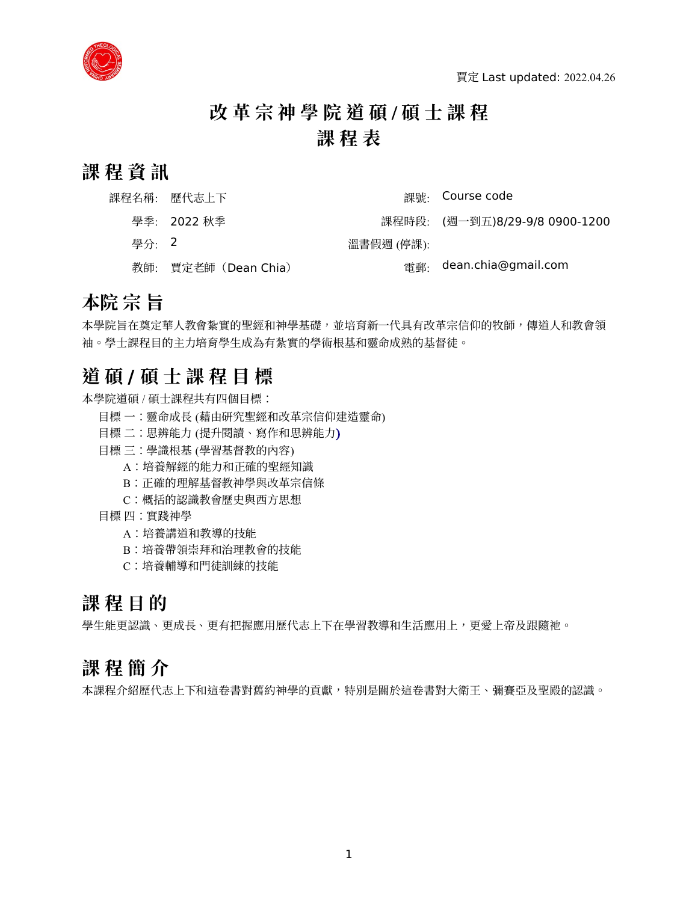

# **改 革 宗 神 學 院 道 碩** / **碩 士 課 程 課 程 表**

### **課 程 資 訊**

|         | 課程名稱: 歷代志上下          |            | 課號: Course code                |
|---------|----------------------|------------|--------------------------------|
|         | 學季: 2022 秋季          |            | 課程時段: (週一到五)8/29-9/8 0900-1200 |
| - 學分: 2 |                      | 溫書假週 (停課): |                                |
|         | 教師: 賈定老師 (Dean Chia) |            | 雷郵· dean.chia@gmail.com        |

### **本院 宗 旨**

本學院旨在奠定華人教會紮實的聖經和神學基礎,並培育新一代具有改革宗信仰的牧師,傳道人和教會領 袖。學士課程目的主力培育學生成為有紮實的學術根基和靈命成熟的基督徒。

### **道 碩 / 碩 士 課 程 目 標**

本學院道碩 / 碩士課程共有四個目標:

- 目標 一:靈命成長 (藉由研究聖經和改革宗信仰建造靈命)
- 目標 二:思辨能力 (提升閱讀、寫作和思辨能力)
- 目標 三:學識根基 (學習基督教的內容)
	- A:培養解經的能力和正確的聖經知識
	- B:正確的理解基督教神學與改革宗信條
	- C:概括的認識教會歷史與西方思想
- 目標 四:實踐神學
	- A:培養講道和教導的技能
	- B:培養帶領崇拜和治理教會的技能
	- C:培養輔導和門徒訓練的技能

### **課 程 目 的**

學生能更認識、更成長、更有把握應用歷代志上下在學習教導和生活應用上,更愛上帝及跟隨祂。

### **課 程 簡 介**

本課程介紹歷代志上下和這卷書對舊約神學的貢獻,特別是關於這卷書對大衛王、彌賽亞及聖殿的認識。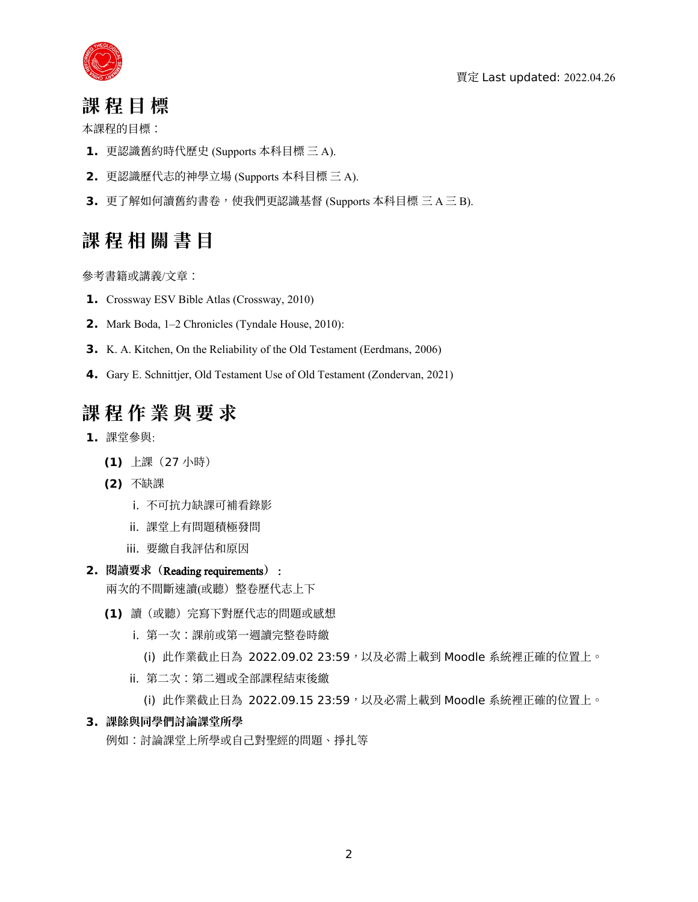



### **課 程 目 標**

本課程的目標:

- **1.** 更認識舊約時代歷史 (Supports 本科目標 三 A).
- **2.** 更認識歷代志的神學立場 (Supports 本科目標 三 A).
- **3.** 更了解如何讀舊約書卷,使我們更認識基督 (Supports 本科目標 三 A 三 B).

# **課 程 相 關 書 目**

參考書籍或講義/文章:

- **1.** Crossway ESV Bible Atlas (Crossway, 2010)
- **2.** Mark Boda, 1–2 Chronicles (Tyndale House, 2010):
- **3.** K. A. Kitchen, On the Reliability of the Old Testament (Eerdmans, 2006)
- **4.** Gary E. Schnittjer, Old Testament Use of Old Testament (Zondervan, 2021)

# **課 程 作 業 與 要 求**

- **1.** 課堂參與:
	- **(1)** 上課(27 小時)
	- **(2)** 不缺課
		- i. 不可抗力缺課可補看錄影
		- ii. 課堂上有問題積極發問
		- iii. 要繳自我評估和原因

#### **2. 閱讀要求(**Reading requirements**)** :

兩次的不間斷速讀(或聽)整卷歷代志上下

- **(1)** 讀(或聽)完寫下對歷代志的問題或感想
	- i. 第一次:課前或第一週讀完整卷時繳
		- (i) 此作業截止日為 2022.09.02 23:59,以及必需上載到 Moodle 系統裡正確的位置上。
	- ii. 第二次:第二週或全部課程結束後繳
		- (i) 此作業截止日為 2022.09.15 23:59,以及必需上載到 Moodle 系統裡正確的位置上。

#### **3. 課餘與同學們討論課堂所學**

例如:討論課堂上所學或自己對聖經的問題、掙扎等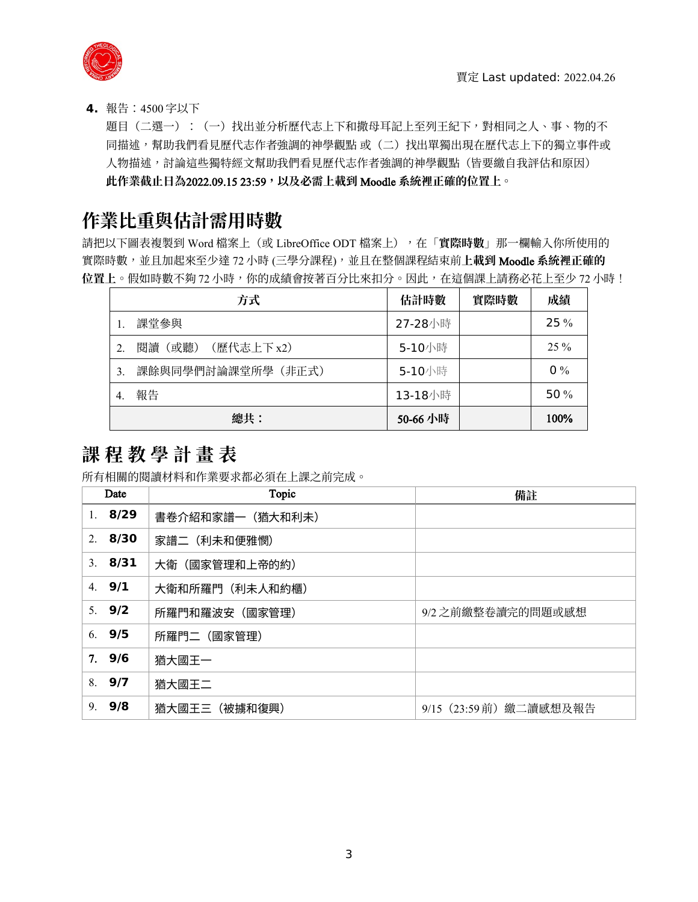

**4.** 報告:4500 字以下

題目(二選一):(一)找出並分析歷代志上下和撒母耳記上至列王紀下,對相同之人、事、物的不 同描述,幫助我們看見歷代志作者強調的神學觀點 或(二)找出單獨出現在歷代志上下的獨立事件或 人物描述,討論這些獨特經文幫助我們看見歷代志作者強調的神學觀點(皆要繳自我評估和原因) **此作業截止日為**2022.09.15 23:59**,以及必需上載到** Moodle **系統裡正確的位置上。**

### **作業比重與估計需用時數**

請把以下圖表複製到 Word 檔案上(或 LibreOffice ODT 檔案上),在「**實際時數**」那一欄輸入你所使用的 實際時數,並且加起來至少達 72 小時 (三學分課程),並且在整個課程結束前**上載到** Moodle **系統裡正確的** 位置上。假如時數不夠 72 小時, 你的成績會按著百分比來扣分。因此, 在這個課上請務必花上至少 72 小時!

|                  | 方式                    | 估計時數     | 實際時數 | 成績     |
|------------------|-----------------------|----------|------|--------|
|                  | 課堂參與                  | 27-28小時  |      | 25%    |
| $\overline{2}$ . | (歷代志上下 x2)<br>閱讀 (或聽) | 5-10小時   |      | $25\%$ |
| 3.               | 課餘與同學們討論課堂所學 (非正式)    | 5-10小時   |      | $0\%$  |
| $\overline{4}$ . | 報告                    | 13-18小時  |      | 50 $%$ |
|                  | 總共:                   | 50-66 小時 |      | 100%   |

# **課 程 教 學 計 畫 表**

所有相關的閱讀材料和作業要求都必須在上課之前完成。

| Topic<br>Date |          |                                    | 備註                      |  |  |  |  |
|---------------|----------|------------------------------------|-------------------------|--|--|--|--|
| 1.            | 8/29     | 書卷介紹和家譜一(猶大和利未)                    |                         |  |  |  |  |
|               | 2.8/30   | 家譜二(利未和便雅憫)                        |                         |  |  |  |  |
|               | 3.8/31   | 大衛(國家管理和上帝的約)                      |                         |  |  |  |  |
|               | 4. $9/1$ | 大衛和所羅門(利未人和約櫃)                     |                         |  |  |  |  |
|               | 5. $9/2$ | 所羅門和羅波安(國家管理)<br>9/2 之前繳整卷讀完的問題或感想 |                         |  |  |  |  |
|               | 6.9/5    | 所羅門二(國家管理)                         |                         |  |  |  |  |
|               | 7.9/6    | 猶大國王一                              |                         |  |  |  |  |
|               | 8.9/7    | 猶大國王二                              |                         |  |  |  |  |
| 9.            | 9/8      | 猶大國王三(被擄和復興)                       | 9/15 (23:59 前) 繳二讀感想及報告 |  |  |  |  |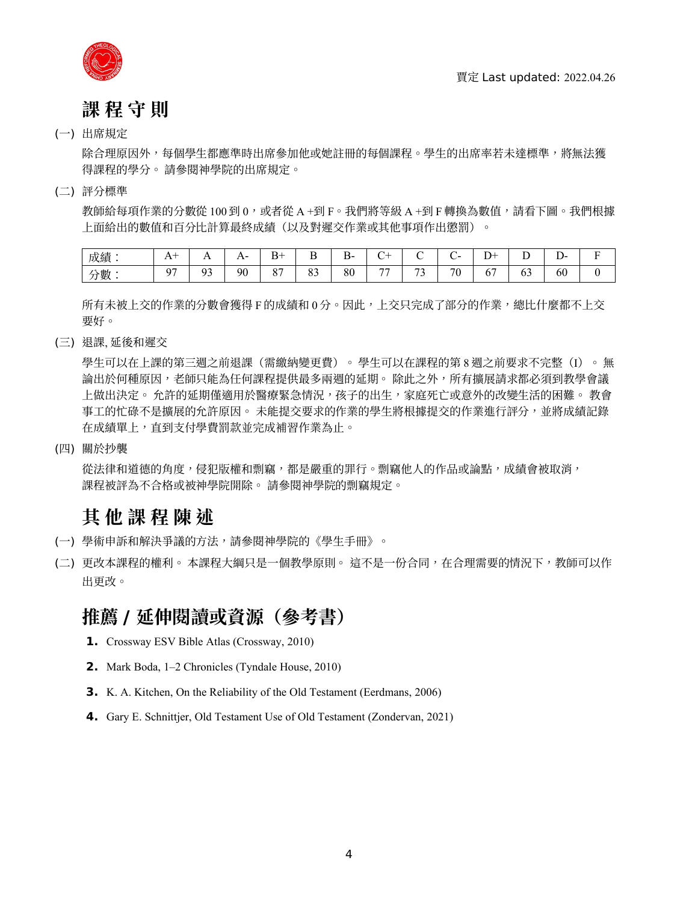

## **課 程 守 則**

#### (一) 出席規定

除合理原因外,每個學生都應準時出席參加他或她註冊的每個課程。學生的出席率若未達標準,將無法獲 得課程的學分。 請參閱神學院的出席規定。

#### (二) 評分標準

教師給每項作業的分數從 100 到 0,或者從 A +到 F。我們將等級 A +到 F 轉換為數值,請看下圖。我們根據 上面給出的數值和百分比計算最終成績(以及對遲交作業或其他事項作出懲罰)。

| 成績                                        | $\mathbf{L}$ | . .         | -<br>$\overline{1}$ | $\mathbf{r}$<br>R.   | $\overline{\phantom{a}}$<br>. .<br>- | $\overline{\phantom{0}}$<br>⊷<br>`-<br><u>.</u> | $\sim$<br>◡ |             | ~<br>--   | $\sqrt{ }$<br>--<br>∸ | $\overline{\phantom{a}}$<br>∸ | -<br>.<br><u>.</u> |  |
|-------------------------------------------|--------------|-------------|---------------------|----------------------|--------------------------------------|-------------------------------------------------|-------------|-------------|-----------|-----------------------|-------------------------------|--------------------|--|
| . 申/<br>, <u>, , , , , , , , ,</u><br>刀數一 | 07           | $^{\Omega}$ | 90                  | O <sub>7</sub><br>Ο. | $\Omega$<br>63                       | 80                                              | $-$         | $\sim$<br>ັ | 70<br>1 U | v                     | "                             | - -<br>60          |  |

所有未被上交的作業的分數會獲得 F 的成績和 0 分。因此,上交只完成了部分的作業,總比什麼都不上交 要好。

(三) 退課, 延後和遲交

學生可以在上課的第三週之前退課(需繳納變更費)。 學生可以在課程的第 8 週之前要求不完整(I)。 無 論出於何種原因,老師只能為任何課程提供最多兩週的延期。 除此之外,所有擴展請求都必須到教學會議 上做出決定。 允許的延期僅適用於醫療緊急情況,孩子的出生,家庭死亡或意外的改變生活的困難。 教會 事工的忙碌不是擴展的允許原因。 未能提交要求的作業的學生將根據提交的作業進行評分,並將成績記錄 在成績單上,直到支付學費罰款並完成補習作業為止。

(四) 關於抄襲

從法律和道德的角度,侵犯版權和剽竊,都是嚴重的罪行。剽竊他人的作品或論點,成績會被取消, 課程被評為不合格或被神學院開除。 請參閱神學院的剽竊規定。

### **其 他 課 程 陳 述**

- (一) 學術申訴和解決爭議的方法,請參閱神學院的《學生手冊》。
- (二) 更改本課程的權利。 本課程大綱只是一個教學原則。 這不是一份合同,在合理需要的情況下,教師可以作 出更改。

### **推薦 / 延伸閱讀或資源(參考書)**

- **1.** Crossway ESV Bible Atlas (Crossway, 2010)
- **2.** Mark Boda, 1–2 Chronicles (Tyndale House, 2010)
- **3.** K. A. Kitchen, On the Reliability of the Old Testament (Eerdmans, 2006)
- **4.** Gary E. Schnittjer, Old Testament Use of Old Testament (Zondervan, 2021)